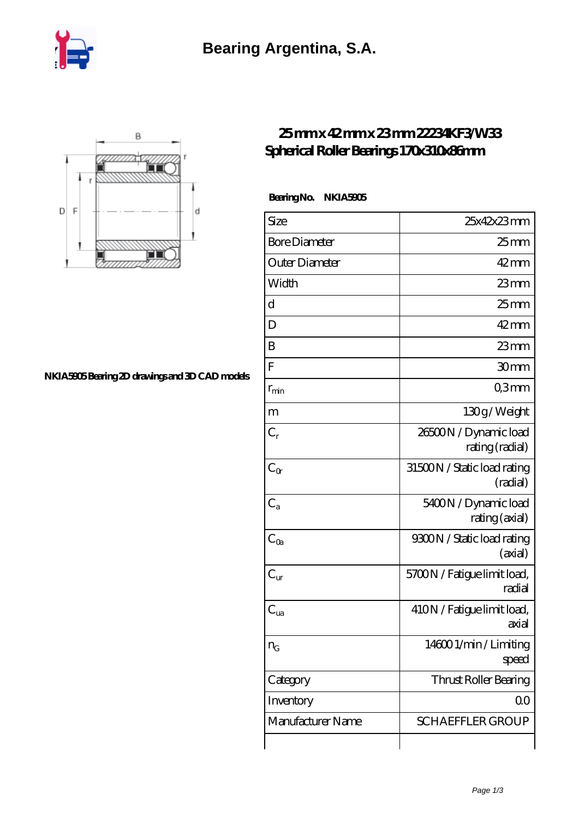



## **[NKIA5905 Bearing 2D drawings and 3D CAD models](https://nbfk.org/pic-65200379.html)**

## **[25 mm x 42 mm x 23 mm 22234KF3/W33](https://nbfk.org/bd-65200379-22234kf3-w33-spherical-roller-bearings-170x310x86mm.html) [Spherical Roller Bearings 170x310x86mm](https://nbfk.org/bd-65200379-22234kf3-w33-spherical-roller-bearings-170x310x86mm.html)**

 **Bearing No. NKIA5905**

| Size                 | 25x42x23mm                               |
|----------------------|------------------------------------------|
| <b>Bore Diameter</b> | 25 <sub>mm</sub>                         |
| Outer Diameter       | $42 \text{mm}$                           |
| Width                | 23mm                                     |
| d                    | 25 <sub>mm</sub>                         |
| D                    | $42 \,\mathrm{mm}$                       |
| B                    | $23$ mm                                  |
| F                    | 30mm                                     |
| $r_{\rm min}$        | Q3mm                                     |
| m                    | 130g/Weight                              |
| $C_r$                | 26500N / Dynamic load<br>rating (radial) |
| $C_{\alpha}$         | 31500N / Static load rating<br>(radial)  |
| $C_{a}$              | 5400N / Dynamic load<br>rating (axial)   |
| $C_{\rm Oa}$         | 9300N / Static load rating<br>(axial)    |
| $C_{\text{ur}}$      | 5700N / Fatigue limit load,<br>radial    |
| $C_{ua}$             | 410N / Fatigue limit load,<br>axial      |
| $n_G$                | 146001/min/Limiting<br>speed             |
| Category             | Thrust Roller Bearing                    |
| Inventory            | QO                                       |
| Manufacturer Name    | <b>SCHAEFFLER GROUP</b>                  |
|                      |                                          |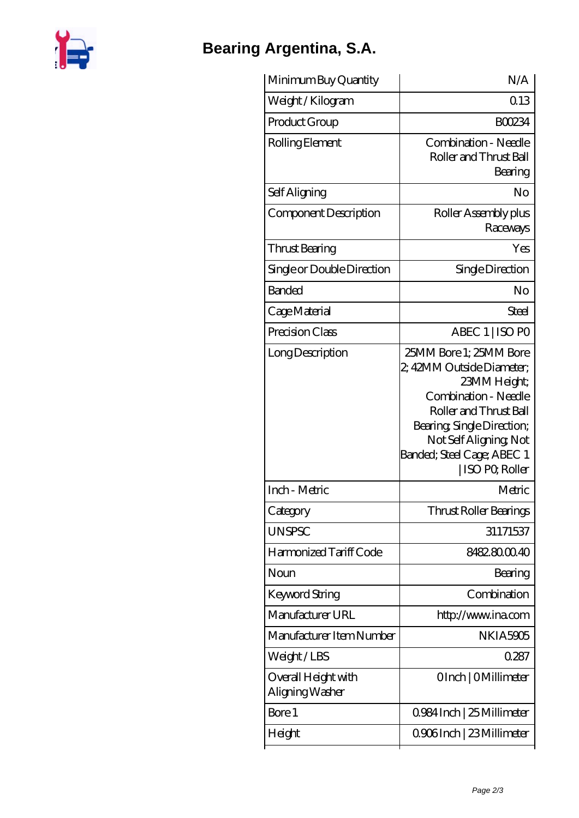

## **[Bearing Argentina, S.A.](https://nbfk.org)**

| Minimum Buy Quantity                   | N/A                                                                                                                                                                                                                           |
|----------------------------------------|-------------------------------------------------------------------------------------------------------------------------------------------------------------------------------------------------------------------------------|
| Weight/Kilogram                        | 013                                                                                                                                                                                                                           |
| Product Group                          | <b>BOO234</b>                                                                                                                                                                                                                 |
| Rolling Element                        | Combination - Needle<br>Roller and Thrust Ball<br>Bearing                                                                                                                                                                     |
| Self Aligning                          | No                                                                                                                                                                                                                            |
| Component Description                  | Roller Assembly plus<br>Raceways                                                                                                                                                                                              |
| Thrust Bearing                         | Yes                                                                                                                                                                                                                           |
| Single or Double Direction             | Single Direction                                                                                                                                                                                                              |
| <b>Banded</b>                          | No                                                                                                                                                                                                                            |
| Cage Material                          | Steel                                                                                                                                                                                                                         |
| Precision Class                        | ABEC 1   ISO PO                                                                                                                                                                                                               |
| Long Description                       | 25MM Bore 1; 25MM Bore<br>2, 42MM Outside Diameter;<br>23MM Height;<br>Combination - Needle<br>Roller and Thrust Ball<br>Bearing, Single Direction;<br>Not Self Aligning, Not<br>Banded; Steel Cage; ABEC 1<br>ISO PO, Roller |
| Inch - Metric                          | Metric                                                                                                                                                                                                                        |
| Category                               | Thrust Roller Bearings                                                                                                                                                                                                        |
| <b>UNSPSC</b>                          | 31171537                                                                                                                                                                                                                      |
| Harmonized Tariff Code                 | 8482.8000.40                                                                                                                                                                                                                  |
| Noun                                   | Bearing                                                                                                                                                                                                                       |
| Keyword String                         | Combination                                                                                                                                                                                                                   |
| Manufacturer URL                       | http://www.ina.com                                                                                                                                                                                                            |
| Manufacturer Item Number               | NKIA5905                                                                                                                                                                                                                      |
| Weight/LBS                             | 0287                                                                                                                                                                                                                          |
| Overall Height with<br>Aligning Washer | OInch   OMillimeter                                                                                                                                                                                                           |
| Bore 1                                 | 0.984 Inch   25 Millimeter                                                                                                                                                                                                    |
| Height                                 | 0906Inch   23 Millimeter                                                                                                                                                                                                      |
|                                        |                                                                                                                                                                                                                               |